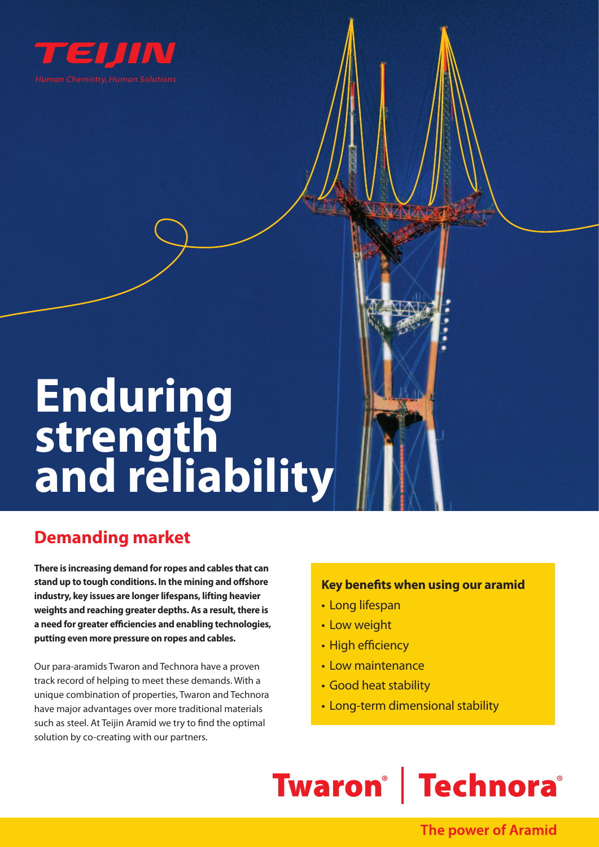

# **Enduring strength**  and reliability

## **Demanding market**

**There is increasing demand for ropes and cables that can stand up to tough conditions. In the mining and offshore industry, key issues are longer lifespans, lifting heavier weights and reaching greater depths. As a result, there is a need for greater efficiencies and enabling technologies, putting even more pressure on ropes and cables.** 

Our para-aramids Twaron and Technora have a proven track record of helping to meet these demands. With a unique combination of properties, Twaron and Technora have major advantages over more traditional materials such as steel. At Teijin Aramid we try to find the optimal solution by co-creating with our partners.

### **Key benefits when using our aramid**

- Long lifespan
- Low weight
- High efficiency
- Low maintenance
- Good heat stability
- Long-term dimensional stability

## **Twaron<sup>®</sup>** | Technora®

## **The power of Aramid**